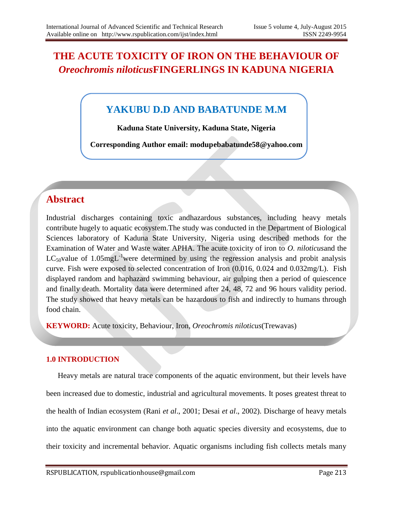# **THE ACUTE TOXICITY OF IRON ON THE BEHAVIOUR OF**  *Oreochromis niloticus***FINGERLINGS IN KADUNA NIGERIA**

# **YAKUBU D.D AND BABATUNDE M.M**

**Kaduna State University, Kaduna State, Nigeria**

**Corresponding Author email: modupebabatunde58@yahoo.com**

# **Abstract**

Industrial discharges containing toxic andhazardous substances, including heavy metals contribute hugely to aquatic ecosystem.The study was conducted in the Department of Biological Sciences laboratory of Kaduna State University, Nigeria using described methods for the Examination of Water and Waste water APHA. The acute toxicity of iron to *O. niloticus*and the  $LC_{50}$ value of 1.05mg $L^{-1}$ were determined by using the regression analysis and probit analysis curve. Fish were exposed to selected concentration of Iron (0.016, 0.024 and 0.032mg/L). Fish displayed random and haphazard swimming behaviour, air gulping then a period of quiescence and finally death. Mortality data were determined after 24, 48, 72 and 96 hours validity period. The study showed that heavy metals can be hazardous to fish and indirectly to humans through food chain.

**KEYWORD:** Acute toxicity, Behaviour, Iron, *Oreochromis niloticus*(Trewavas)

## **1.0 INTRODUCTION**

Heavy metals are natural trace components of the aquatic environment, but their levels have been increased due to domestic, industrial and agricultural movements. It poses greatest threat to the health of Indian ecosystem (Rani *et al*., 2001; Desai *et al*., 2002). Discharge of heavy metals into the aquatic environment can change both aquatic species diversity and ecosystems, due to their toxicity and incremental behavior. Aquatic organisms including fish collects metals many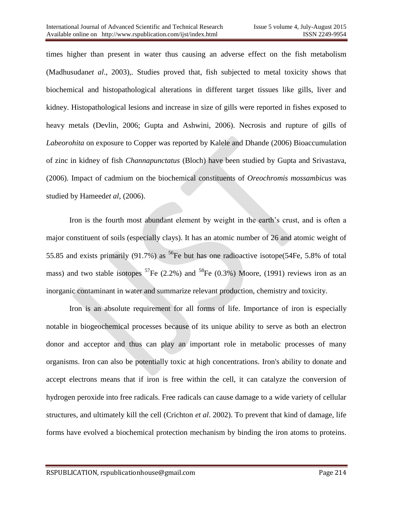times higher than present in water thus causing an adverse effect on the fish metabolism (Madhusudan*et al*., 2003),. Studies proved that, fish subjected to metal toxicity shows that biochemical and histopathological alterations in different target tissues like gills, liver and kidney. Histopathological lesions and increase in size of gills were reported in fishes exposed to heavy metals (Devlin, 2006; Gupta and Ashwini, 2006). Necrosis and rupture of gills of *Labeorohita* on exposure to Copper was reported by Kalele and Dhande (2006) Bioaccumulation of zinc in kidney of fish *Channapunctatus* (Bloch) have been studied by Gupta and Srivastava, (2006). Impact of cadmium on the biochemical constituents of *Oreochromis mossambicus* was studied by Hameed*et al*, (2006).

Iron is the fourth most abundant element by weight in the earth's crust, and is often a major constituent of soils (especially clays). It has an atomic number of 26 and atomic weight of 55.85 and exists primarily (91.7%) as <sup>56</sup>Fe but has one radioactive isotope(54Fe, 5.8% of total mass) and two stable isotopes  ${}^{57}Fe$  (2.2%) and  ${}^{58}Fe$  (0.3%) Moore, (1991) reviews iron as an inorganic contaminant in water and summarize relevant production, chemistry and toxicity.

Iron is an absolute requirement for all forms of life. Importance of iron is especially notable in biogeochemical processes because of its unique ability to serve as both an electron donor and acceptor and thus can play an important role in metabolic processes of many organisms. Iron can also be potentially toxic at high concentrations. Iron's ability to donate and accept electrons means that if iron is free within the cell, it can catalyze the conversion of hydrogen peroxide into free radicals. Free radicals can cause damage to a wide variety of cellular structures, and ultimately kill the cell (Crichton *et al*. 2002). To prevent that kind of damage, life forms have evolved a biochemical protection mechanism by binding the iron atoms to proteins.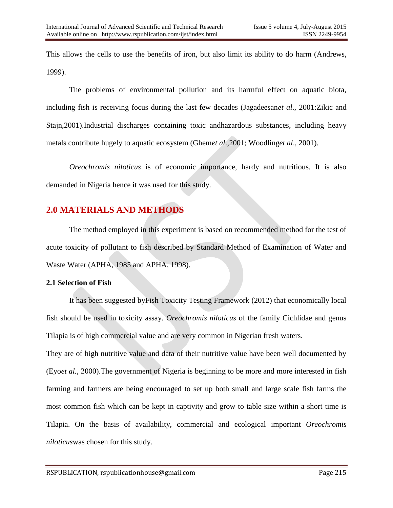This allows the cells to use the benefits of iron, but also limit its ability to do harm (Andrews, 1999).

The problems of environmental pollution and its harmful effect on aquatic biota, including fish is receiving focus during the last few decades (Jagadeesan*et al*., 2001:Zikic and Stajn,2001).Industrial discharges containing toxic andhazardous substances, including heavy metals contribute hugely to aquatic ecosystem (Ghem*et al*.,2001; Woodling*et al*., 2001).

*Oreochromis niloticus* is of economic importance, hardy and nutritious. It is also demanded in Nigeria hence it was used for this study.

## **2.0 MATERIALS AND METHODS**

The method employed in this experiment is based on recommended method for the test of acute toxicity of pollutant to fish described by Standard Method of Examination of Water and Waste Water (APHA, 1985 and APHA, 1998).

## **2.1 Selection of Fish**

It has been suggested byFish Toxicity Testing Framework (2012) that economically local fish should be used in toxicity assay. *Oreochromis niloticus* of the family Cichlidae and genus Tilapia is of high commercial value and are very common in Nigerian fresh waters.

They are of high nutritive value and data of their nutritive value have been well documented by (Eyo*et al.,* 2000).The government of Nigeria is beginning to be more and more interested in fish farming and farmers are being encouraged to set up both small and large scale fish farms the most common fish which can be kept in captivity and grow to table size within a short time is Tilapia. On the basis of availability, commercial and ecological important *Oreochromis niloticus*was chosen for this study.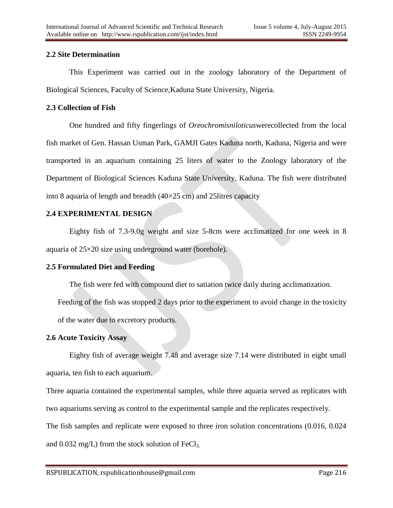### **2.2 Site Determination**

This Experiment was carried out in the zoology laboratory of the Department of Biological Sciences, Faculty of Science,Kaduna State University, Nigeria.

### **2.3 Collection of Fish**

One hundred and fifty fingerlings of *Oreochromisniloticus*werecollected from the local fish market of Gen. Hassan Usman Park, GAMJI Gates Kaduna north, Kaduna, Nigeria and were transported in an aquarium containing 25 liters of water to the Zoology laboratory of the Department of Biological Sciences Kaduna State University, Kaduna. The fish were distributed into 8 aquaria of length and breadth  $(40\times25 \text{ cm})$  and 25 litres capacity

## **2.4 EXPERIMENTAL DESIGN**

Eighty fish of 7.3-9.0g weight and size 5-8cm were acclimatized for one week in 8 aquaria of 25×20 size using underground water (borehole).

#### **2.5 Formulated Diet and Feeding**

The fish were fed with compound diet to satiation twice daily during acclimatization.

Feeding of the fish was stopped 2 days prior to the experiment to avoid change in the toxicity of the water due to excretory products.

## **2.6 Acute Toxicity Assay**

Eighty fish of average weight 7.48 and average size 7.14 were distributed in eight small aquaria, ten fish to each aquarium.

Three aquaria contained the experimental samples, while three aquaria served as replicates with two aquariums serving as control to the experimental sample and the replicates respectively.

The fish samples and replicate were exposed to three iron solution concentrations (0.016, 0.024

and  $0.032 \text{ mg/L}$ ) from the stock solution of FeCl<sub>3.</sub>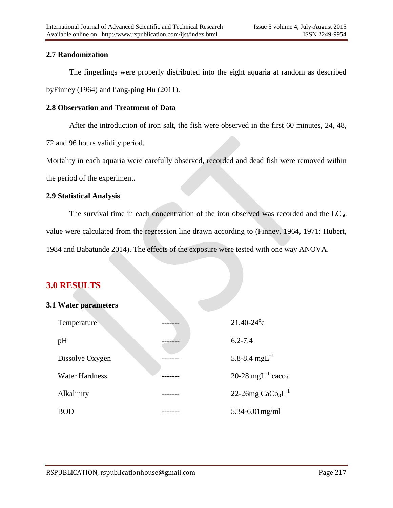## **2.7 Randomization**

The fingerlings were properly distributed into the eight aquaria at random as described byFinney (1964) and liang-ping Hu (2011).

## **2.8 Observation and Treatment of Data**

After the introduction of iron salt, the fish were observed in the first 60 minutes, 24, 48,

72 and 96 hours validity period.

Mortality in each aquaria were carefully observed, recorded and dead fish were removed within the period of the experiment.

## **2.9 Statistical Analysis**

The survival time in each concentration of the iron observed was recorded and the  $LC_{50}$ value were calculated from the regression line drawn according to (Finney, 1964, 1971: Hubert, 1984 and Babatunde 2014). The effects of the exposure were tested with one way ANOVA.

# **3.0 RESULTS**

## **3.1 Water parameters**

| Temperature           | $21.40 - 24$ °c                           |
|-----------------------|-------------------------------------------|
| pH                    | $6.2 - 7.4$                               |
| Dissolve Oxygen       | 5.8-8.4 mg $L^{-1}$                       |
| <b>Water Hardness</b> | 20-28 mgL <sup>-1</sup> caco <sub>3</sub> |
| Alkalinity            | 22-26mg $CaCo3L-1$                        |
| <b>BOD</b>            | $5.34 - 6.01$ mg/ml                       |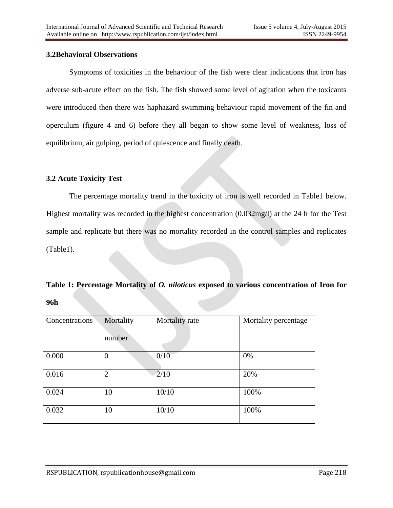### **3.2Behavioral Observations**

Symptoms of toxicities in the behaviour of the fish were clear indications that iron has adverse sub-acute effect on the fish. The fish showed some level of agitation when the toxicants were introduced then there was haphazard swimming behaviour rapid movement of the fin and operculum (figure 4 and 6) before they all began to show some level of weakness, loss of equilibrium, air gulping, period of quiescence and finally death.

## **3.2 Acute Toxicity Test**

The percentage mortality trend in the toxicity of iron is well recorded in Table1 below. Highest mortality was recorded in the highest concentration (0.032mg/l) at the 24 h for the Test sample and replicate but there was no mortality recorded in the control samples and replicates (Table1).

# **Table 1: Percentage Mortality of** *O. niloticus* **exposed to various concentration of Iron for 96h**

| Concentrations | Mortality<br>number | Mortality rate | Mortality percentage |
|----------------|---------------------|----------------|----------------------|
| 0.000          | $\overline{0}$      | 0/10           | 0%                   |
| 0.016          | $\overline{2}$      | 2/10           | 20%                  |
| 0.024          | 10                  | 10/10          | 100%                 |
| 0.032          | 10                  | 10/10          | 100%                 |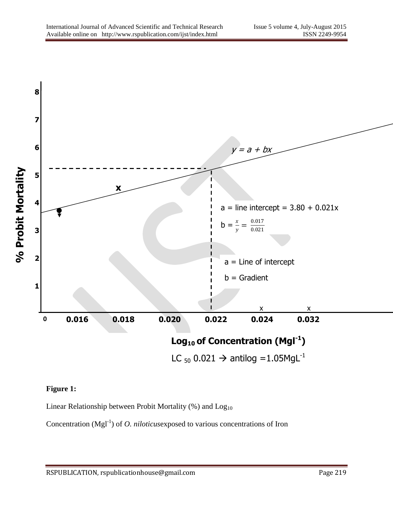

## **Figure 1:**

Linear Relationship between Probit Mortality  $(\%)$  and  $Log<sub>10</sub>$ 

Concentration  $(Mgl<sup>-1</sup>)$  of *O. niloticus* exposed to various concentrations of Iron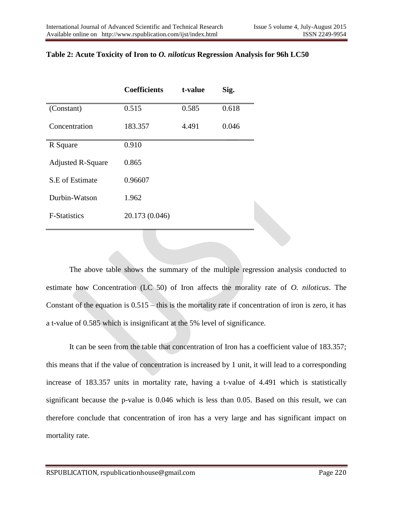|                          | <b>Coefficients</b> | t-value | Sig.  |
|--------------------------|---------------------|---------|-------|
| (Constant)               | 0.515               | 0.585   | 0.618 |
| Concentration            | 183.357             | 4.491   | 0.046 |
| R Square                 | 0.910               |         |       |
| <b>Adjusted R-Square</b> | 0.865               |         |       |
| S.E of Estimate          | 0.96607             |         |       |
| Durbin-Watson            | 1.962               |         |       |
| <b>F-Statistics</b>      | 20.173 (0.046)      |         |       |

## **Table 2: Acute Toxicity of Iron to** *O. niloticus* **Regression Analysis for 96h LC50**

The above table shows the summary of the multiple regression analysis conducted to estimate how Concentration (LC 50) of Iron affects the morality rate of *O. niloticus*. The Constant of the equation is 0.515 – this is the mortality rate if concentration of iron is zero, it has a t-value of 0.585 which is insignificant at the 5% level of significance.

It can be seen from the table that concentration of Iron has a coefficient value of 183.357; this means that if the value of concentration is increased by 1 unit, it will lead to a corresponding increase of 183.357 units in mortality rate, having a t-value of 4.491 which is statistically significant because the p-value is 0.046 which is less than 0.05. Based on this result, we can therefore conclude that concentration of iron has a very large and has significant impact on mortality rate.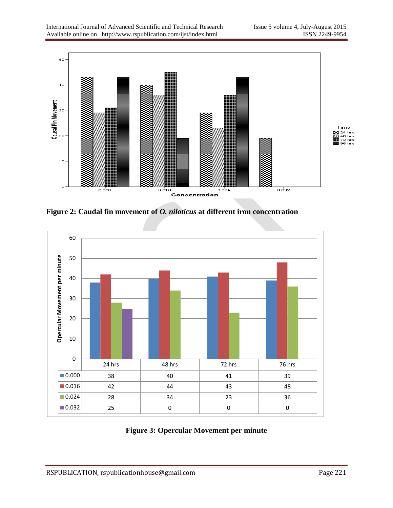

**Figure 2: Caudal fin movement of** *O. niloticus* **at different iron concentration**



**Figure 3: Opercular Movement per minute**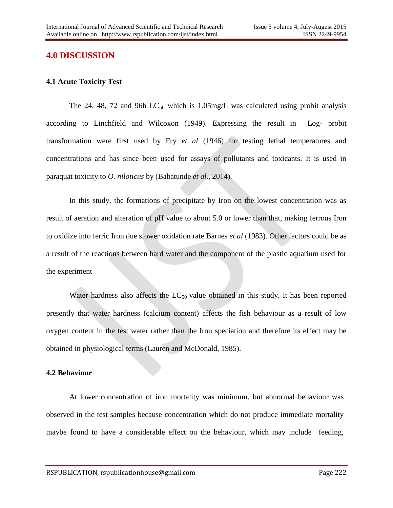## **4.0 DISCUSSION**

### **4.1 Acute Toxicity Test**

The 24, 48, 72 and 96h  $LC_{50}$  which is 1.05mg/L was calculated using probit analysis according to Linchfield and Wilcoxon (1949). Expressing the result in Log- probit transformation were first used by Fry *et al* (1946) for testing lethal temperatures and concentrations and has since been used for assays of pollutants and toxicants. It is used in paraquat toxicity to *O. niloticus* by (Babatunde *et al.,* 2014).

In this study, the formations of precipitate by Iron on the lowest concentration was as result of aeration and alteration of pH value to about 5.0 or lower than that, making ferrous Iron to oxidize into ferric Iron due slower oxidation rate Barnes *et al* (1983). Other factors could be as a result of the reactions between hard water and the component of the plastic aquarium used for the experiment

Water hardness also affects the  $LC_{50}$  value obtained in this study. It has been reported presently that water hardness (calcium content) affects the fish behaviour as a result of low oxygen content in the test water rather than the Iron speciation and therefore its effect may be obtained in physiological terms (Lauren and McDonald, 1985).

#### **4.2 Behaviour**

At lower concentration of iron mortality was minimum, but abnormal behaviour was observed in the test samples because concentration which do not produce immediate mortality maybe found to have a considerable effect on the behaviour, which may include feeding,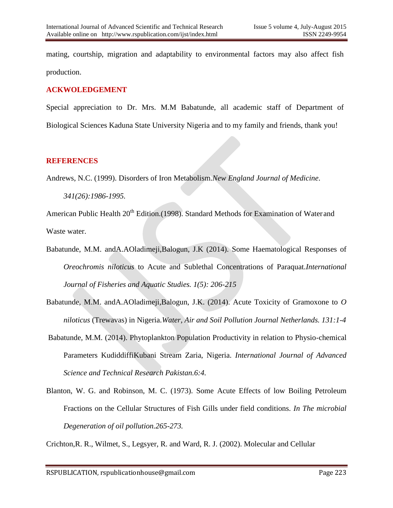mating, courtship, migration and adaptability to environmental factors may also affect fish production.

## **ACKWOLEDGEMENT**

Special appreciation to Dr. Mrs. M.M Babatunde, all academic staff of Department of Biological Sciences Kaduna State University Nigeria and to my family and friends, thank you!

## **REFERENCES**

Andrews, N.C. (1999). Disorders of Iron Metabolism.*New England Journal of Medicine*. *341(26):1986-1995.*

American Public Health 20<sup>th</sup> Edition.(1998). Standard Methods for Examination of Water and Waste water.

- Babatunde, M.M. andA.AOladimeji,Balogun, J.K (2014). Some Haematological Responses of *Oreochromis niloticus* to Acute and Sublethal Concentrations of Paraquat.*International Journal of Fisheries and Aquatic Studies. 1(5): 206-215*
- Babatunde, M.M. andA.AOladimeji,Balogun, J.K. (2014). Acute Toxicity of Gramoxone to *O niloticus* (Trewavas) in Nigeria.*Water, Air and Soil Pollution Journal Netherlands. 131:1-4*
- Babatunde, M.M. (2014). Phytoplankton Population Productivity in relation to Physio-chemical Parameters KudiddiffiKubani Stream Zaria, Nigeria. *International Journal of Advanced Science and Technical Research Pakistan.6:4.*
- Blanton, W. G. and Robinson, M. C. (1973). Some Acute Effects of low Boiling Petroleum Fractions on the Cellular Structures of Fish Gills under field conditions. *In The microbial Degeneration of oil pollution.265-273.*

Crichton,R. R., Wilmet, S., Legsyer, R. and Ward, R. J. (2002). Molecular and Cellular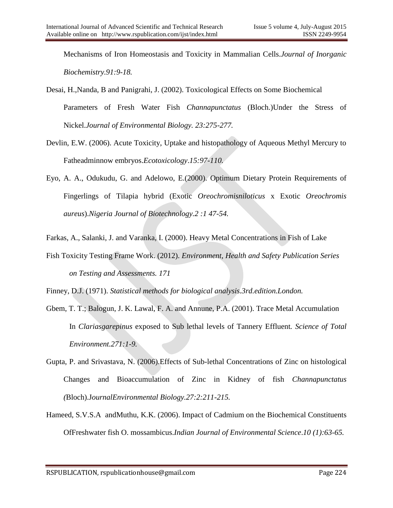Mechanisms of Iron Homeostasis and Toxicity in Mammalian Cells.*Journal of Inorganic Biochemistry.91:9-18.*

Desai, H.,Nanda, B and Panigrahi, J. (2002). Toxicological Effects on Some Biochemical Parameters of Fresh Water Fish *Channapunctatus* (Bloch.)Under the Stress of Nickel.*Journal of Environmental Biology. 23:275-277.*

- Devlin, E.W. (2006). Acute Toxicity, Uptake and histopathology of Aqueous Methyl Mercury to Fatheadminnow embryos.*Ecotoxicology*.*15:97-110.*
- Eyo, A. A., Odukudu, G. and Adelowo, E.(2000). Optimum Dietary Protein Requirements of Fingerlings of Tilapia hybrid (Exotic *Oreochromisniloticus* x Exotic *Oreochromis aureus*).*Nigeria Journal of Biotechnology.2 :1 47-54.*
- Farkas, A., Salanki, J. and Varanka, I. (2000). Heavy Metal Concentrations in Fish of Lake
- Fish Toxicity Testing Frame Work. (2012). *Environment, Health and Safety Publication Series on Testing and Assessments. 171*

Finney, D.J. (1971). *Statistical methods for biological analysis.3rd.edition.London.*

- Gbem, T. T.; Balogun, J. K. Lawal, F. A. and Annune, P.A. (2001). Trace Metal Accumulation In *Clariasgarepinus* exposed to Sub lethal levels of Tannery Effluent*. Science of Total Environment.271:1-9.*
- Gupta, P. and Srivastava, N. (2006).Effects of Sub-lethal Concentrations of Zinc on histological Changes and Bioaccumulation of Zinc in Kidney of fish *Channapunctatus (*Bloch).J*ournalEnvironmental Biology.27:2:211-215.*
- Hameed, S.V.S.A andMuthu, K.K. (2006). Impact of Cadmium on the Biochemical Constituents OfFreshwater fish O. mossambicus.*Indian Journal of Environmental Science*.*10 (1):63-65.*